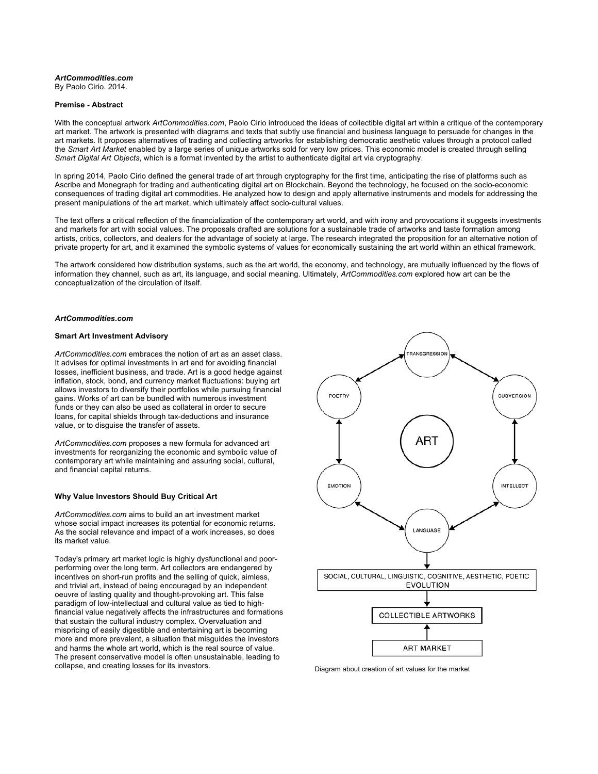### *ArtCommodities.com* By Paolo Cirio. 2014.

### **Premise - Abstract**

With the conceptual artwork *ArtCommodities.com*, Paolo Cirio introduced the ideas of collectible digital art within a critique of the contemporary art market. The artwork is presented with diagrams and texts that subtly use financial and business language to persuade for changes in the art markets. It proposes alternatives of trading and collecting artworks for establishing democratic aesthetic values through a protocol called the *Smart Art Market* enabled by a large series of unique artworks sold for very low prices. This economic model is created through selling *Smart Digital Art Objects*, which is a format invented by the artist to authenticate digital art via cryptography.

In spring 2014, Paolo Cirio defined the general trade of art through cryptography for the first time, anticipating the rise of platforms such as Ascribe and Monegraph for trading and authenticating digital art on Blockchain. Beyond the technology, he focused on the socio-economic consequences of trading digital art commodities. He analyzed how to design and apply alternative instruments and models for addressing the present manipulations of the art market, which ultimately affect socio-cultural values.

The text offers a critical reflection of the financialization of the contemporary art world, and with irony and provocations it suggests investments and markets for art with social values. The proposals drafted are solutions for a sustainable trade of artworks and taste formation among artists, critics, collectors, and dealers for the advantage of society at large. The research integrated the proposition for an alternative notion of private property for art, and it examined the symbolic systems of values for economically sustaining the art world within an ethical framework.

The artwork considered how distribution systems, such as the art world, the economy, and technology, are mutually influenced by the flows of information they channel, such as art, its language, and social meaning. Ultimately, *ArtCommodities.com* explored how art can be the conceptualization of the circulation of itself.

## *ArtCommodities.com*

## **Smart Art Investment Advisory**

*ArtCommodities.com* embraces the notion of art as an asset class. It advises for optimal investments in art and for avoiding financial losses, inefficient business, and trade. Art is a good hedge against inflation, stock, bond, and currency market fluctuations: buying art allows investors to diversify their portfolios while pursuing financial gains. Works of art can be bundled with numerous investment funds or they can also be used as collateral in order to secure loans, for capital shields through tax-deductions and insurance value, or to disguise the transfer of assets.

*ArtCommodities.com* proposes a new formula for advanced art investments for reorganizing the economic and symbolic value of contemporary art while maintaining and assuring social, cultural, and financial capital returns.

## **Why Value Investors Should Buy Critical Art**

*ArtCommodities.com* aims to build an art investment market whose social impact increases its potential for economic returns. As the social relevance and impact of a work increases, so does its market value.

Today's primary art market logic is highly dysfunctional and poorperforming over the long term. Art collectors are endangered by incentives on short-run profits and the selling of quick, aimless, and trivial art, instead of being encouraged by an independent oeuvre of lasting quality and thought-provoking art. This false paradigm of low-intellectual and cultural value as tied to highfinancial value negatively affects the infrastructures and formations that sustain the cultural industry complex. Overvaluation and mispricing of easily digestible and entertaining art is becoming more and more prevalent, a situation that misguides the investors and harms the whole art world, which is the real source of value. The present conservative model is often unsustainable, leading to collapse, and creating losses for its investors. Diagram about creation of art values for the market

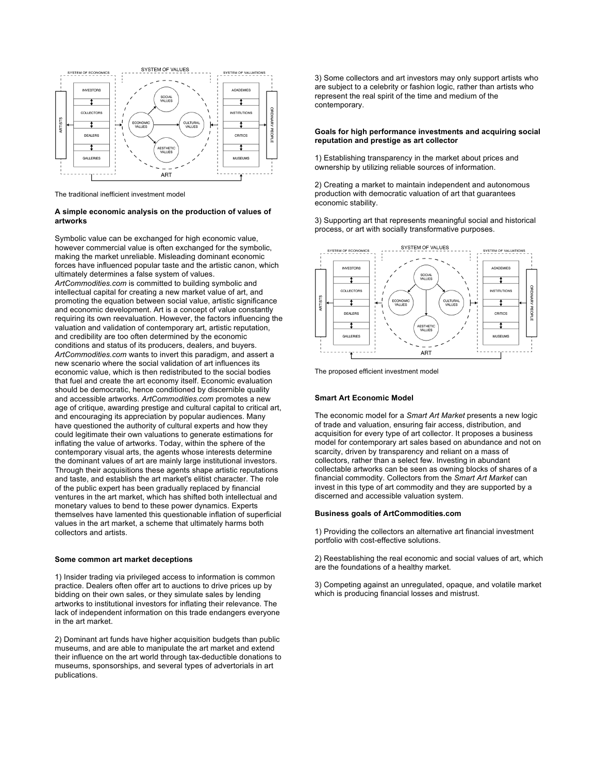

The traditional inefficient investment model

## **A simple economic analysis on the production of values of artworks**

Symbolic value can be exchanged for high economic value, however commercial value is often exchanged for the symbolic, making the market unreliable. Misleading dominant economic forces have influenced popular taste and the artistic canon, which ultimately determines a false system of values. *ArtCommodities.com* is committed to building symbolic and intellectual capital for creating a new market value of art, and promoting the equation between social value, artistic significance and economic development. Art is a concept of value constantly requiring its own reevaluation. However, the factors influencing the valuation and validation of contemporary art, artistic reputation, and credibility are too often determined by the economic conditions and status of its producers, dealers, and buyers. *ArtCommodities.com* wants to invert this paradigm, and assert a new scenario where the social validation of art influences its economic value, which is then redistributed to the social bodies that fuel and create the art economy itself. Economic evaluation should be democratic, hence conditioned by discernible quality and accessible artworks. *ArtCommodities.com* promotes a new age of critique, awarding prestige and cultural capital to critical art, and encouraging its appreciation by popular audiences. Many have questioned the authority of cultural experts and how they could legitimate their own valuations to generate estimations for inflating the value of artworks. Today, within the sphere of the contemporary visual arts, the agents whose interests determine the dominant values of art are mainly large institutional investors. Through their acquisitions these agents shape artistic reputations and taste, and establish the art market's elitist character. The role of the public expert has been gradually replaced by financial ventures in the art market, which has shifted both intellectual and monetary values to bend to these power dynamics. Experts themselves have lamented this questionable inflation of superficial values in the art market, a scheme that ultimately harms both collectors and artists.

## **Some common art market deceptions**

1) Insider trading via privileged access to information is common practice. Dealers often offer art to auctions to drive prices up by bidding on their own sales, or they simulate sales by lending artworks to institutional investors for inflating their relevance. The lack of independent information on this trade endangers everyone in the art market.

2) Dominant art funds have higher acquisition budgets than public museums, and are able to manipulate the art market and extend their influence on the art world through tax-deductible donations to museums, sponsorships, and several types of advertorials in art publications.

3) Some collectors and art investors may only support artists who are subject to a celebrity or fashion logic, rather than artists who represent the real spirit of the time and medium of the contemporary.

## **Goals for high performance investments and acquiring social reputation and prestige as art collector**

1) Establishing transparency in the market about prices and ownership by utilizing reliable sources of information.

2) Creating a market to maintain independent and autonomous production with democratic valuation of art that guarantees economic stability.

3) Supporting art that represents meaningful social and historical process, or art with socially transformative purposes.



The proposed efficient investment model

## **Smart Art Economic Model**

The economic model for a *Smart Art Market* presents a new logic of trade and valuation, ensuring fair access, distribution, and acquisition for every type of art collector. It proposes a business model for contemporary art sales based on abundance and not on scarcity, driven by transparency and reliant on a mass of collectors, rather than a select few. Investing in abundant collectable artworks can be seen as owning blocks of shares of a financial commodity. Collectors from the *Smart Art Market* can invest in this type of art commodity and they are supported by a discerned and accessible valuation system.

## **Business goals of ArtCommodities.com**

1) Providing the collectors an alternative art financial investment portfolio with cost-effective solutions.

2) Reestablishing the real economic and social values of art, which are the foundations of a healthy market.

3) Competing against an unregulated, opaque, and volatile market which is producing financial losses and mistrust.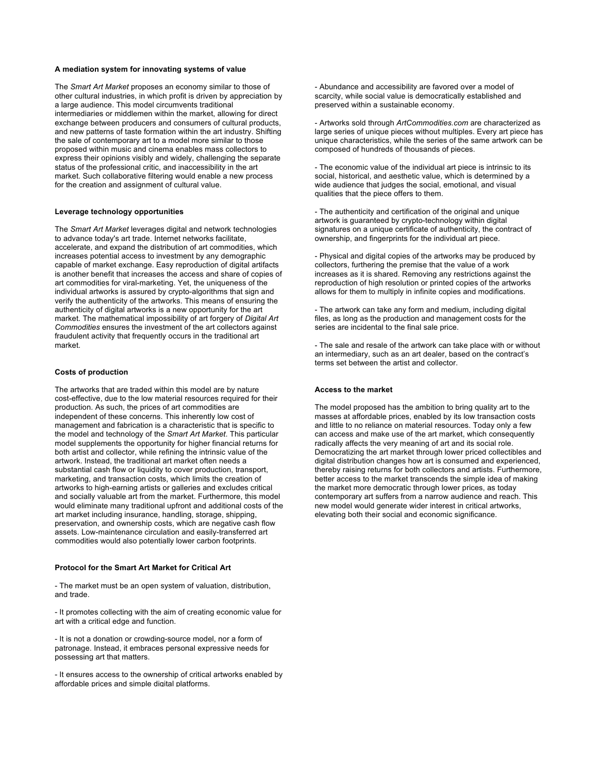### **A mediation system for innovating systems of value**

The *Smart Art Market* proposes an economy similar to those of other cultural industries, in which profit is driven by appreciation by a large audience. This model circumvents traditional intermediaries or middlemen within the market, allowing for direct exchange between producers and consumers of cultural products, and new patterns of taste formation within the art industry. Shifting the sale of contemporary art to a model more similar to those proposed within music and cinema enables mass collectors to express their opinions visibly and widely, challenging the separate status of the professional critic, and inaccessibility in the art market. Such collaborative filtering would enable a new process for the creation and assignment of cultural value.

### **Leverage technology opportunities**

The *Smart Art Market* leverages digital and network technologies to advance today's art trade. Internet networks facilitate, accelerate, and expand the distribution of art commodities, which increases potential access to investment by any demographic capable of market exchange. Easy reproduction of digital artifacts is another benefit that increases the access and share of copies of art commodities for viral-marketing. Yet, the uniqueness of the individual artworks is assured by crypto-algorithms that sign and verify the authenticity of the artworks. This means of ensuring the authenticity of digital artworks is a new opportunity for the art market. The mathematical impossibility of art forgery of *Digital Art Commodities* ensures the investment of the art collectors against fraudulent activity that frequently occurs in the traditional art market.

#### **Costs of production**

The artworks that are traded within this model are by nature cost-effective, due to the low material resources required for their production. As such, the prices of art commodities are independent of these concerns. This inherently low cost of management and fabrication is a characteristic that is specific to the model and technology of the *Smart Art Market*. This particular model supplements the opportunity for higher financial returns for both artist and collector, while refining the intrinsic value of the artwork. Instead, the traditional art market often needs a substantial cash flow or liquidity to cover production, transport, marketing, and transaction costs, which limits the creation of artworks to high-earning artists or galleries and excludes critical and socially valuable art from the market. Furthermore, this model would eliminate many traditional upfront and additional costs of the art market including insurance, handling, storage, shipping, preservation, and ownership costs, which are negative cash flow assets. Low-maintenance circulation and easily-transferred art commodities would also potentially lower carbon footprints.

#### **Protocol for the Smart Art Market for Critical Art**

- The market must be an open system of valuation, distribution, and trade.

- It promotes collecting with the aim of creating economic value for art with a critical edge and function.

- It is not a donation or crowding-source model, nor a form of patronage. Instead, it embraces personal expressive needs for possessing art that matters.

- It ensures access to the ownership of critical artworks enabled by affordable prices and simple digital platforms.

- Abundance and accessibility are favored over a model of scarcity, while social value is democratically established and preserved within a sustainable economy.

- Artworks sold through *ArtCommodities.com* are characterized as large series of unique pieces without multiples. Every art piece has unique characteristics, while the series of the same artwork can be composed of hundreds of thousands of pieces.

- The economic value of the individual art piece is intrinsic to its social, historical, and aesthetic value, which is determined by a wide audience that judges the social, emotional, and visual qualities that the piece offers to them.

- The authenticity and certification of the original and unique artwork is guaranteed by crypto-technology within digital signatures on a unique certificate of authenticity, the contract of ownership, and fingerprints for the individual art piece.

- Physical and digital copies of the artworks may be produced by collectors, furthering the premise that the value of a work increases as it is shared. Removing any restrictions against the reproduction of high resolution or printed copies of the artworks allows for them to multiply in infinite copies and modifications.

- The artwork can take any form and medium, including digital files, as long as the production and management costs for the series are incidental to the final sale price.

- The sale and resale of the artwork can take place with or without an intermediary, such as an art dealer, based on the contract's terms set between the artist and collector.

#### **Access to the market**

The model proposed has the ambition to bring quality art to the masses at affordable prices, enabled by its low transaction costs and little to no reliance on material resources. Today only a few can access and make use of the art market, which consequently radically affects the very meaning of art and its social role. Democratizing the art market through lower priced collectibles and digital distribution changes how art is consumed and experienced, thereby raising returns for both collectors and artists. Furthermore, better access to the market transcends the simple idea of making the market more democratic through lower prices, as today contemporary art suffers from a narrow audience and reach. This new model would generate wider interest in critical artworks, elevating both their social and economic significance.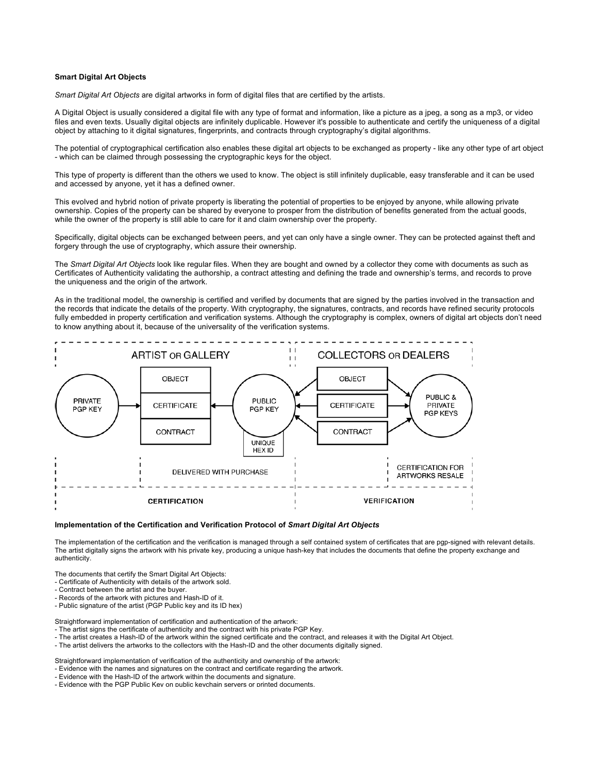### **Smart Digital Art Objects**

*Smart Digital Art Objects* are digital artworks in form of digital files that are certified by the artists.

A Digital Object is usually considered a digital file with any type of format and information, like a picture as a jpeg, a song as a mp3, or video files and even texts. Usually digital objects are infinitely duplicable. However it's possible to authenticate and certify the uniqueness of a digital object by attaching to it digital signatures, fingerprints, and contracts through cryptography's digital algorithms.

The potential of cryptographical certification also enables these digital art objects to be exchanged as property - like any other type of art object - which can be claimed through possessing the cryptographic keys for the object.

This type of property is different than the others we used to know. The object is still infinitely duplicable, easy transferable and it can be used and accessed by anyone, yet it has a defined owner.

This evolved and hybrid notion of private property is liberating the potential of properties to be enjoyed by anyone, while allowing private ownership. Copies of the property can be shared by everyone to prosper from the distribution of benefits generated from the actual goods, while the owner of the property is still able to care for it and claim ownership over the property.

Specifically, digital objects can be exchanged between peers, and yet can only have a single owner. They can be protected against theft and forgery through the use of cryptography, which assure their ownership.

The *Smart Digital Art Objects* look like regular files. When they are bought and owned by a collector they come with documents as such as Certificates of Authenticity validating the authorship, a contract attesting and defining the trade and ownership's terms, and records to prove the uniqueness and the origin of the artwork.

As in the traditional model, the ownership is certified and verified by documents that are signed by the parties involved in the transaction and the records that indicate the details of the property. With cryptography, the signatures, contracts, and records have refined security protocols fully embedded in property certification and verification systems. Although the cryptography is complex, owners of digital art objects don't need to know anything about it, because of the universality of the verification systems.



#### **Implementation of the Certification and Verification Protocol of** *Smart Digital Art Objects*

The implementation of the certification and the verification is managed through a self contained system of certificates that are pgp-signed with relevant details. The artist digitally signs the artwork with his private key, producing a unique hash-key that includes the documents that define the property exchange and authenticity.

The documents that certify the Smart Digital Art Objects:

- Certificate of Authenticity with details of the artwork sold.
- Contract between the artist and the buyer.
- Records of the artwork with pictures and Hash-ID of it.
- Public signature of the artist (PGP Public key and its ID hex)

Straightforward implementation of certification and authentication of the artwork:

- The artist signs the certificate of authenticity and the contract with his private PGP Key.

- The artist creates a Hash-ID of the artwork within the signed certificate and the contract, and releases it with the Digital Art Object.
- The artist delivers the artworks to the collectors with the Hash-ID and the other documents digitally signed.

Straightforward implementation of verification of the authenticity and ownership of the artwork:

- Evidence with the names and signatures on the contract and certificate regarding the artwork.

- Evidence with the Hash-ID of the artwork within the documents and signature.

- Evidence with the PGP Public Key on public keychain servers or printed documents.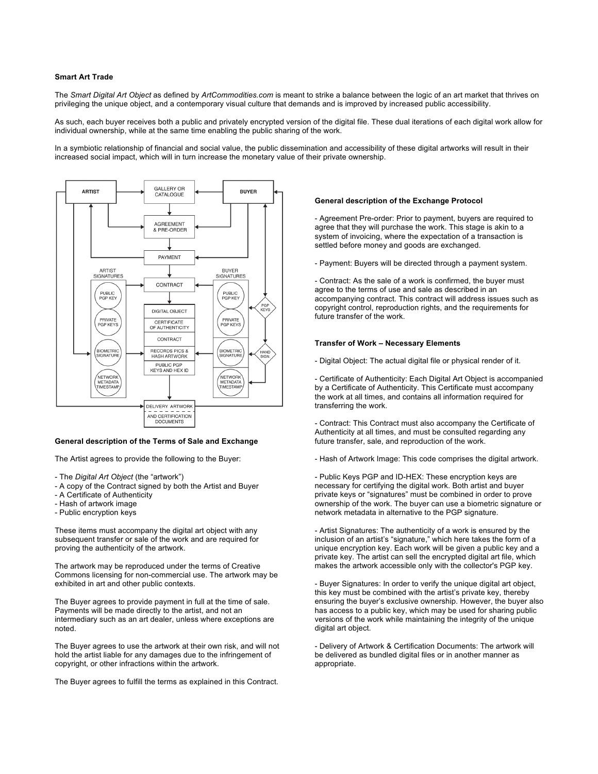### **Smart Art Trade**

The *Smart Digital Art Object* as defined by *ArtCommodities.com* is meant to strike a balance between the logic of an art market that thrives on privileging the unique object, and a contemporary visual culture that demands and is improved by increased public accessibility.

As such, each buyer receives both a public and privately encrypted version of the digital file. These dual iterations of each digital work allow for individual ownership, while at the same time enabling the public sharing of the work.

In a symbiotic relationship of financial and social value, the public dissemination and accessibility of these digital artworks will result in their increased social impact, which will in turn increase the monetary value of their private ownership.



# **General description of the Terms of Sale and Exchange**

The Artist agrees to provide the following to the Buyer:

- The *Digital Art Object* (the "artwork")
- A copy of the Contract signed by both the Artist and Buyer
- A Certificate of Authenticity
- Hash of artwork image
- Public encryption keys

These items must accompany the digital art object with any subsequent transfer or sale of the work and are required for proving the authenticity of the artwork.

The artwork may be reproduced under the terms of Creative Commons licensing for non-commercial use. The artwork may be exhibited in art and other public contexts.

The Buyer agrees to provide payment in full at the time of sale. Payments will be made directly to the artist, and not an intermediary such as an art dealer, unless where exceptions are noted.

The Buyer agrees to use the artwork at their own risk, and will not hold the artist liable for any damages due to the infringement of copyright, or other infractions within the artwork.

The Buyer agrees to fulfill the terms as explained in this Contract.

#### **General description of the Exchange Protocol**

- Agreement Pre-order: Prior to payment, buyers are required to agree that they will purchase the work. This stage is akin to a system of invoicing, where the expectation of a transaction is settled before money and goods are exchanged.

- Payment: Buyers will be directed through a payment system.

- Contract: As the sale of a work is confirmed, the buyer must agree to the terms of use and sale as described in an accompanying contract. This contract will address issues such as copyright control, reproduction rights, and the requirements for future transfer of the work.

## **Transfer of Work – Necessary Elements**

- Digital Object: The actual digital file or physical render of it.

- Certificate of Authenticity: Each Digital Art Object is accompanied by a Certificate of Authenticity. This Certificate must accompany the work at all times, and contains all information required for transferring the work.

- Contract: This Contract must also accompany the Certificate of Authenticity at all times, and must be consulted regarding any future transfer, sale, and reproduction of the work.

- Hash of Artwork Image: This code comprises the digital artwork.

- Public Keys PGP and ID-HEX: These encryption keys are necessary for certifying the digital work. Both artist and buyer private keys or "signatures" must be combined in order to prove ownership of the work. The buyer can use a biometric signature or network metadata in alternative to the PGP signature.

- Artist Signatures: The authenticity of a work is ensured by the inclusion of an artist's "signature," which here takes the form of a unique encryption key. Each work will be given a public key and a private key. The artist can sell the encrypted digital art file, which makes the artwork accessible only with the collector's PGP key.

- Buyer Signatures: In order to verify the unique digital art object, this key must be combined with the artist's private key, thereby ensuring the buyer's exclusive ownership. However, the buyer also has access to a public key, which may be used for sharing public versions of the work while maintaining the integrity of the unique digital art object.

- Delivery of Artwork & Certification Documents: The artwork will be delivered as bundled digital files or in another manner as appropriate.